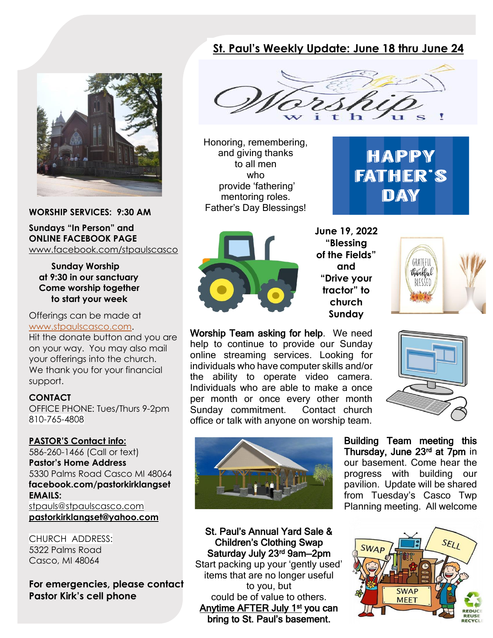## **St. Paul's Weekly Update: June 18 thru June 24**



**WORSHIP SERVICES: 9:30 AM**

**Sundays "In Person" and ONLINE FACEBOOK PAGE** [www.facebook.com/stpaulscasco](http://www.facebook.com/stpaulscasco)

 **Sunday Worship at 9:30 in our sanctuary Come worship together to start your week**

Offerings can be made at [www.stpaulscasco.com.](http://www.stpaulscasco.com/)

Hit the donate button and you are on your way. You may also mail your offerings into the church. We thank you for your financial support.

**CONTACT**

OFFICE PHONE: Tues/Thurs 9-2pm 810-765-4808

#### **PASTOR'S Contact info:**

586-260-1466 (Call or text) **Pastor's Home Address** 5330 Palms Road Casco MI 48064 **facebook.com/pastorkirklangset EMAILS:** [stpauls@stpaulscasco.com](mailto:stpauls@stpaulscasco.com) **pastorkirklangset@yahoo.com**

CHURCH ADDRESS: 5322 Palms Road Casco, MI 48064

**For emergencies, please contact Pastor Kirk's cell phone**



Honoring, remembering, and giving thanks to all men who provide 'fathering' mentoring roles. Father's Day Blessings!





**June 19, 2022 "Blessing of the Fields" and "Drive your tractor" to church Sunday**



Worship Team asking for help. We need help to continue to provide our Sunday online streaming services. Looking for individuals who have computer skills and/or the ability to operate video camera. Individuals who are able to make a once per month or once every other month Sunday commitment. Contact church office or talk with anyone on worship team.





St. Paul's Annual Yard Sale & Children's Clothing Swap Saturday July 23<sup>rd</sup> 9am–2pm Start packing up your 'gently used' items that are no longer useful to you, but could be of value to others. Anytime AFTER July 1st you can bring to St. Paul's basement.

Building Team meeting this Thursday, June 23<sup>rd</sup> at 7pm in our basement. Come hear the progress with building our pavilion. Update will be shared from Tuesday's Casco Twp Planning meeting. All welcome